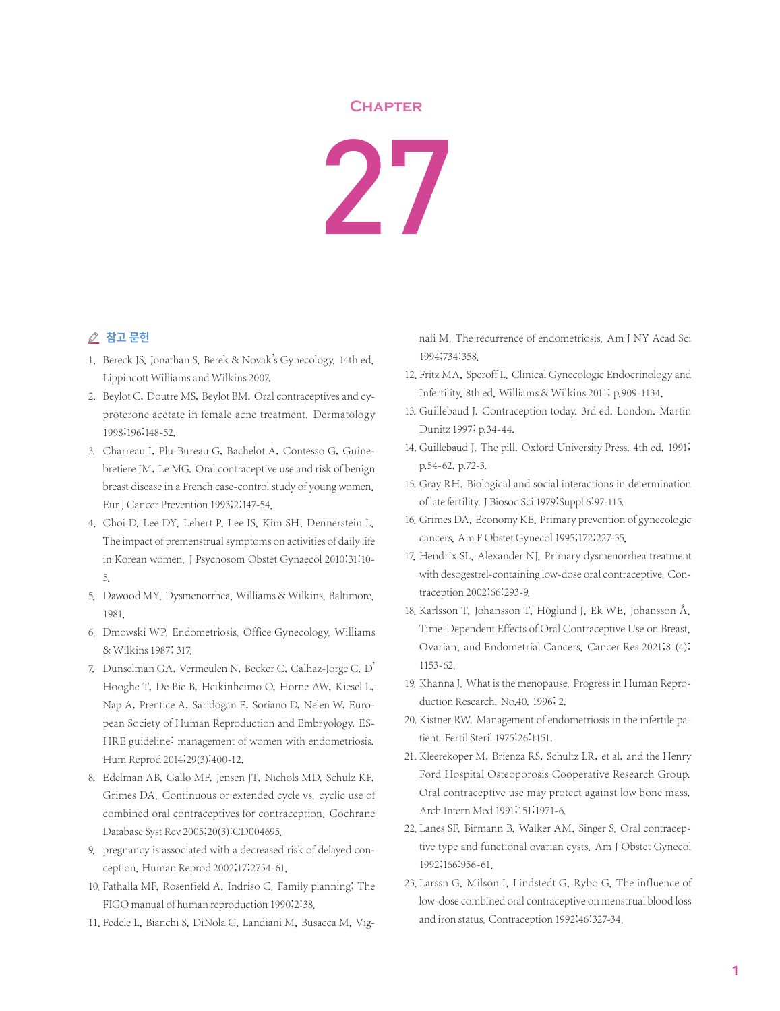## **Chapter**

27

## △ 참고 문헌

- 1. Bereck JS, Jonathan S. Berek & Novak's Gynecology. 14th ed. Lippincott Williams and Wilkins 2007.
- 2. Beylot C, Doutre MS, Beylot BM. Oral contraceptives and cyproterone acetate in female acne treatment. Dermatology 1998;196:148-52.
- 3. Charreau I, Plu-Bureau G, Bachelot A, Contesso G, Guinebretiere JM, Le MG. Oral contraceptive use and risk of benign breast disease in a French case-control study of young women. Eur J Cancer Prevention 1993;2:147-54.
- 4. Choi D, Lee DY, Lehert P, Lee IS, Kim SH, Dennerstein L. The impact of premenstrual symptoms on activities of daily life in Korean women. J Psychosom Obstet Gynaecol 2010;31:10- 5.
- 5. Dawood MY. Dysmenorrhea. Williams & Wilkins, Baltimore, 1981.
- 6. Dmowski WP. Endometriosis. Office Gynecology. Williams & Wilkins 1987; 317.
- 7. Dunselman GA, Vermeulen N, Becker C, Calhaz-Jorge C, D' Hooghe T, De Bie B, Heikinheimo O, Horne AW, Kiesel L, Nap A, Prentice A, Saridogan E, Soriano D, Nelen W, European Society of Human Reproduction and Embryology. ES-HRE guideline: management of women with endometriosis. Hum Reprod 2014;29(3):400-12.
- 8. Edelman AB, Gallo MF, Jensen JT, Nichols MD, Schulz KF, Grimes DA. Continuous or extended cycle vs. cyclic use of combined oral contraceptives for contraception. Cochrane Database Syst Rev 2005;20(3):CD004695.
- 9. pregnancy is associated with a decreased risk of delayed conception. Human Reprod 2002;17:2754-61.
- 10. Fathalla MF, Rosenfield A, Indriso C. Family planning; The FIGO manual of human reproduction 1990;2:38.
- 11. Fedele L, Bianchi S, DiNola G, Landiani M, Busacca M, Vig-

nali M. The recurrence of endometriosis. Am J NY Acad Sci 1994;734:358.

- 12. Fritz MA, Speroff L. Clinical Gynecologic Endocrinology and Infertility. 8th ed. Williams & Wilkins 2011; p.909-1134.
- 13. Guillebaud J. Contraception today. 3rd ed. London. Martin Dunitz 1997; p.34-44.
- 14. Guillebaud J. The pill. Oxford University Press. 4th ed. 1991; p.54-62, p.72-3.
- 15. Gray RH. Biological and social interactions in determination of late fertility.J Biosoc Sci 1979;Suppl 6:97-115.
- 16. Grimes DA, Economy KE. Primary prevention of gynecologic cancers. Am F Obstet Gynecol 1995;172:227-35.
- 17. Hendrix SL, Alexander NJ. Primary dysmenorrhea treatment with desogestrel-containing low-dose oral contraceptive. Contraception 2002;66:293-9.
- 18. Karlsson T, Johansson T, Höglund J, Ek WE, Johansson Å. Time-Dependent Effects of Oral Contraceptive Use on Breast, Ovarian, and Endometrial Cancers. Cancer Res 2021;81(4): 1153-62.
- 19. Khanna J. What is the menopause. Progress in Human Reproduction Research. No.40, 1996; 2.
- 20. Kistner RW. Management of endometriosis in the infertile patient. Fertil Steril 1975;26:1151.
- 21. Kleerekoper M, Brienza RS, Schultz LR, et al, and the Henry Ford Hospital Osteoporosis Cooperative Research Group. Oral contraceptive use may protect against low bone mass. Arch Intern Med 1991;151:1971-6.
- 22. Lanes SF, Birmann B, Walker AM, Singer S. Oral contraceptive type and functional ovarian cysts. Am J Obstet Gynecol 1992;166:956-61.
- 23. Larssn G, Milson I, Lindstedt G, Rybo G. The influence of low-dose combined oral contraceptive on menstrual blood loss and iron status. Contraception 1992;46:327-34.